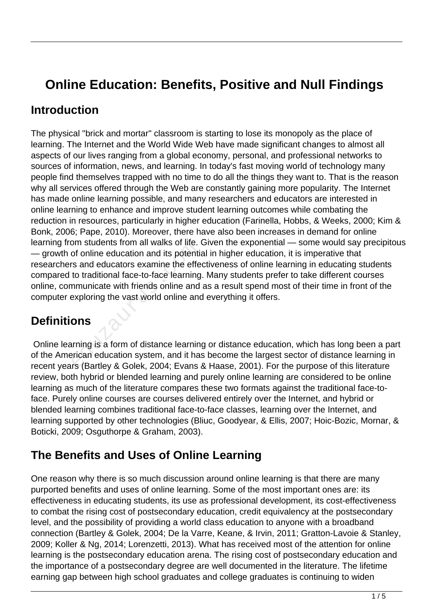# **Online Education: Benefits, Positive and Null Findings**

#### **Introduction**

The physical "brick and mortar" classroom is starting to lose its monopoly as the place of learning. The Internet and the World Wide Web have made significant changes to almost all aspects of our lives ranging from a global economy, personal, and professional networks to sources of information, news, and learning. In today's fast moving world of technology many people find themselves trapped with no time to do all the things they want to. That is the reason why all services offered through the Web are constantly gaining more popularity. The Internet has made online learning possible, and many researchers and educators are interested in online learning to enhance and improve student learning outcomes while combating the reduction in resources, particularly in higher education (Farinella, Hobbs, & Weeks, 2000; Kim & Bonk, 2006; Pape, 2010). Moreover, there have also been increases in demand for online learning from students from all walks of life. Given the exponential — some would say precipitous — growth of online education and its potential in higher education, it is imperative that researchers and educators examine the effectiveness of online learning in educating students compared to traditional face-to-face learning. Many students prefer to take different courses online, communicate with friends online and as a result spend most of their time in front of the computer exploring the vast world online and everything it offers. of online education and its potentistical models in the effector traditional face-to-face learning<br>the effect of traditional face-to-face learning<br>nonunicate with friends online and<br>exploring the vast world online and<br>**ONS** 

### **Definitions**

 Online learning is a form of distance learning or distance education, which has long been a part of the American education system, and it has become the largest sector of distance learning in recent years (Bartley & Golek, 2004; Evans & Haase, 2001). For the purpose of this literature review, both hybrid or blended learning and purely online learning are considered to be online learning as much of the literature compares these two formats against the traditional face-toface. Purely online courses are courses delivered entirely over the Internet, and hybrid or blended learning combines traditional face-to-face classes, learning over the Internet, and learning supported by other technologies (Bliuc, Goodyear, & Ellis, 2007; Hoic-Bozic, Mornar, & Boticki, 2009; Osguthorpe & Graham, 2003).

### **The Benefits and Uses of Online Learning**

One reason why there is so much discussion around online learning is that there are many purported benefits and uses of online learning. Some of the most important ones are: its effectiveness in educating students, its use as professional development, its cost-effectiveness to combat the rising cost of postsecondary education, credit equivalency at the postsecondary level, and the possibility of providing a world class education to anyone with a broadband connection (Bartley & Golek, 2004; De la Varre, Keane, & Irvin, 2011; Gratton-Lavoie & Stanley, 2009; Koller & Ng, 2014; Lorenzetti, 2013). What has received most of the attention for online learning is the postsecondary education arena. The rising cost of postsecondary education and the importance of a postsecondary degree are well documented in the literature. The lifetime earning gap between high school graduates and college graduates is continuing to widen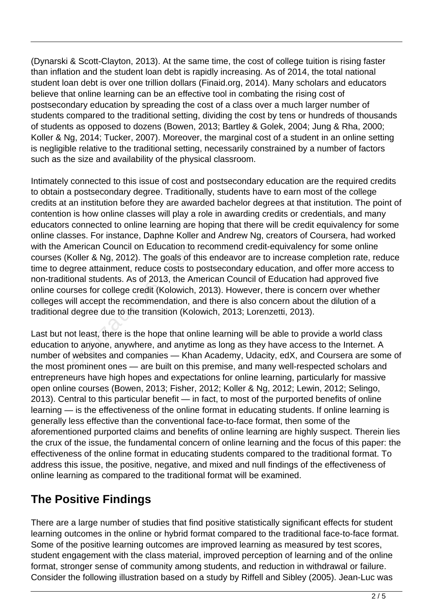(Dynarski & Scott-Clayton, 2013). At the same time, the cost of college tuition is rising faster than inflation and the student loan debt is rapidly increasing. As of 2014, the total national student loan debt is over one trillion dollars (Finaid.org, 2014). Many scholars and educators believe that online learning can be an effective tool in combating the rising cost of postsecondary education by spreading the cost of a class over a much larger number of students compared to the traditional setting, dividing the cost by tens or hundreds of thousands of students as opposed to dozens (Bowen, 2013; Bartley & Golek, 2004; Jung & Rha, 2000; Koller & Ng, 2014; Tucker, 2007). Moreover, the marginal cost of a student in an online setting is negligible relative to the traditional setting, necessarily constrained by a number of factors such as the size and availability of the physical classroom.

Intimately connected to this issue of cost and postsecondary education are the required credits to obtain a postsecondary degree. Traditionally, students have to earn most of the college credits at an institution before they are awarded bachelor degrees at that institution. The point of contention is how online classes will play a role in awarding credits or credentials, and many educators connected to online learning are hoping that there will be credit equivalency for some online classes. For instance, Daphne Koller and Andrew Ng, creators of Coursera, had worked with the American Council on Education to recommend credit-equivalency for some online courses (Koller & Ng, 2012). The goals of this endeavor are to increase completion rate, reduce time to degree attainment, reduce costs to postsecondary education, and offer more access to non-traditional students. As of 2013, the American Council of Education had approved five online courses for college credit (Kolowich, 2013). However, there is concern over whether colleges will accept the recommendation, and there is also concern about the dilution of a traditional degree due to the transition (Kolowich, 2013; Lorenzetti, 2013). merican Council on Education to recoller & Ng, 2012). The goals of th<br>gree attainment, reduce costs to p<br>onal students. As of 2013, the Am<br>rses for college credit (Kolowich, 2<br>ill accept the recommendation, an<br>degree due t

Last but not least, there is the hope that online learning will be able to provide a world class education to anyone, anywhere, and anytime as long as they have access to the Internet. A number of websites and companies — Khan Academy, Udacity, edX, and Coursera are some of the most prominent ones — are built on this premise, and many well-respected scholars and entrepreneurs have high hopes and expectations for online learning, particularly for massive open online courses (Bowen, 2013; Fisher, 2012; Koller & Ng, 2012; Lewin, 2012; Selingo, 2013). Central to this particular benefit — in fact, to most of the purported benefits of online learning — is the effectiveness of the online format in educating students. If online learning is generally less effective than the conventional face-to-face format, then some of the aforementioned purported claims and benefits of online learning are highly suspect. Therein lies the crux of the issue, the fundamental concern of online learning and the focus of this paper: the effectiveness of the online format in educating students compared to the traditional format. To address this issue, the positive, negative, and mixed and null findings of the effectiveness of online learning as compared to the traditional format will be examined.

### **The Positive Findings**

There are a large number of studies that find positive statistically significant effects for student learning outcomes in the online or hybrid format compared to the traditional face-to-face format. Some of the positive learning outcomes are improved learning as measured by test scores, student engagement with the class material, improved perception of learning and of the online format, stronger sense of community among students, and reduction in withdrawal or failure. Consider the following illustration based on a study by Riffell and Sibley (2005). Jean-Luc was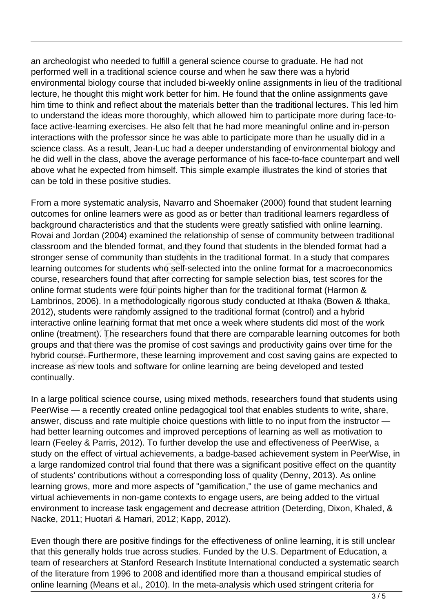an archeologist who needed to fulfill a general science course to graduate. He had not performed well in a traditional science course and when he saw there was a hybrid environmental biology course that included bi-weekly online assignments in lieu of the traditional lecture, he thought this might work better for him. He found that the online assignments gave him time to think and reflect about the materials better than the traditional lectures. This led him to understand the ideas more thoroughly, which allowed him to participate more during face-toface active-learning exercises. He also felt that he had more meaningful online and in-person interactions with the professor since he was able to participate more than he usually did in a science class. As a result, Jean-Luc had a deeper understanding of environmental biology and he did well in the class, above the average performance of his face-to-face counterpart and well above what he expected from himself. This simple example illustrates the kind of stories that can be told in these positive studies.

From a more systematic analysis, Navarro and Shoemaker (2000) found that student learning outcomes for online learners were as good as or better than traditional learners regardless of background characteristics and that the students were greatly satisfied with online learning. Rovai and Jordan (2004) examined the relationship of sense of community between traditional classroom and the blended format, and they found that students in the blended format had a stronger sense of community than students in the traditional format. In a study that compares learning outcomes for students who self-selected into the online format for a macroeconomics course, researchers found that after correcting for sample selection bias, test scores for the online format students were four points higher than for the traditional format (Harmon & Lambrinos, 2006). In a methodologically rigorous study conducted at Ithaka (Bowen & Ithaka, 2012), students were randomly assigned to the traditional format (control) and a hybrid interactive online learning format that met once a week where students did most of the work online (treatment). The researchers found that there are comparable learning outcomes for both groups and that there was the promise of cost savings and productivity gains over time for the hybrid course. Furthermore, these learning improvement and cost saving gains are expected to increase as new tools and software for online learning are being developed and tested continually. and the blended format, and they<br>ense of community than students i<br>utcomes for students who self-sele<br>searchers found that after correction<br>at students were four points high<br>, 2006). In a methodologically rigo<br>dents were r

In a large political science course, using mixed methods, researchers found that students using PeerWise — a recently created online pedagogical tool that enables students to write, share, answer, discuss and rate multiple choice questions with little to no input from the instructor had better learning outcomes and improved perceptions of learning as well as motivation to learn (Feeley & Parris, 2012). To further develop the use and effectiveness of PeerWise, a study on the effect of virtual achievements, a badge-based achievement system in PeerWise, in a large randomized control trial found that there was a significant positive effect on the quantity of students' contributions without a corresponding loss of quality (Denny, 2013). As online learning grows, more and more aspects of "gamification," the use of game mechanics and virtual achievements in non-game contexts to engage users, are being added to the virtual environment to increase task engagement and decrease attrition (Deterding, Dixon, Khaled, & Nacke, 2011; Huotari & Hamari, 2012; Kapp, 2012).

Even though there are positive findings for the effectiveness of online learning, it is still unclear that this generally holds true across studies. Funded by the U.S. Department of Education, a team of researchers at Stanford Research Institute International conducted a systematic search of the literature from 1996 to 2008 and identified more than a thousand empirical studies of online learning (Means et al., 2010). In the meta-analysis which used stringent criteria for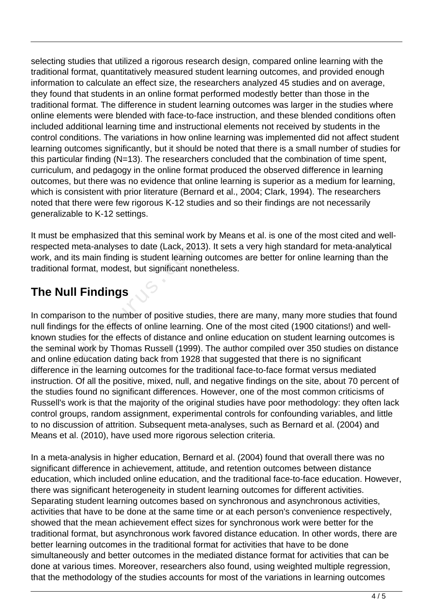selecting studies that utilized a rigorous research design, compared online learning with the traditional format, quantitatively measured student learning outcomes, and provided enough information to calculate an effect size, the researchers analyzed 45 studies and on average, they found that students in an online format performed modestly better than those in the traditional format. The difference in student learning outcomes was larger in the studies where online elements were blended with face-to-face instruction, and these blended conditions often included additional learning time and instructional elements not received by students in the control conditions. The variations in how online learning was implemented did not affect student learning outcomes significantly, but it should be noted that there is a small number of studies for this particular finding (N=13). The researchers concluded that the combination of time spent, curriculum, and pedagogy in the online format produced the observed difference in learning outcomes, but there was no evidence that online learning is superior as a medium for learning, which is consistent with prior literature (Bernard et al., 2004; Clark, 1994). The researchers noted that there were few rigorous K-12 studies and so their findings are not necessarily generalizable to K-12 settings.

It must be emphasized that this seminal work by Means et al. is one of the most cited and wellrespected meta-analyses to date (Lack, 2013). It sets a very high standard for meta-analytical work, and its main finding is student learning outcomes are better for online learning than the traditional format, modest, but significant nonetheless.

### **The Null Findings**

In comparison to the number of positive studies, there are many, many more studies that found null findings for the effects of online learning. One of the most cited (1900 citations!) and wellknown studies for the effects of distance and online education on student learning outcomes is the seminal work by Thomas Russell (1999). The author compiled over 350 studies on distance and online education dating back from 1928 that suggested that there is no significant difference in the learning outcomes for the traditional face-to-face format versus mediated instruction. Of all the positive, mixed, null, and negative findings on the site, about 70 percent of the studies found no significant differences. However, one of the most common criticisms of Russell's work is that the majority of the original studies have poor methodology: they often lack control groups, random assignment, experimental controls for confounding variables, and little to no discussion of attrition. Subsequent meta-analyses, such as Bernard et al. (2004) and Means et al. (2010), have used more rigorous selection criteria. meta-analyses to date (Lack, 201<br>its main finding is student learning<br>format, modest, but significant nor<br>**II Findings**<br>son to the number of positive studes<br>is for the effects of distance and<br>all work by Thomas Russell (19

In a meta-analysis in higher education, Bernard et al. (2004) found that overall there was no significant difference in achievement, attitude, and retention outcomes between distance education, which included online education, and the traditional face-to-face education. However, there was significant heterogeneity in student learning outcomes for different activities. Separating student learning outcomes based on synchronous and asynchronous activities, activities that have to be done at the same time or at each person's convenience respectively, showed that the mean achievement effect sizes for synchronous work were better for the traditional format, but asynchronous work favored distance education. In other words, there are better learning outcomes in the traditional format for activities that have to be done simultaneously and better outcomes in the mediated distance format for activities that can be done at various times. Moreover, researchers also found, using weighted multiple regression, that the methodology of the studies accounts for most of the variations in learning outcomes